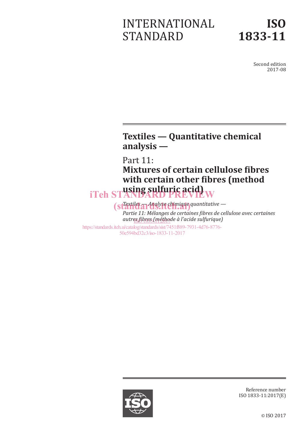# INTERNATIONAL STANDARD

Second edition 2017-08

# **Textiles — Quantitative chemical analysis —**

Part 11:

**Mixtures of certain cellulose fibres with certain other fibres (method using sulfuric acid)** iTeh STANDARD PREVIEW

*Textiles — Analyse chimique quantitative —* (standards.iteh.ai) *Partie 11: Mélanges de certaines fibres de cellulose avec certaines*

*autres fibres (méthode à l'acide sulfurique)* ISO 1833-11:2017 https://standards.iteh.ai/catalog/standards/sist/7451f889-7931-4d76-8776- 50e594bd32c3/iso-1833-11-2017



Reference number ISO 1833-11:2017(E)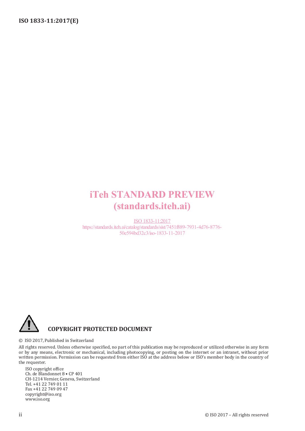# iTeh STANDARD PREVIEW (standards.iteh.ai)

ISO 1833-11:2017 https://standards.iteh.ai/catalog/standards/sist/7451f889-7931-4d76-8776- 50e594bd32c3/iso-1833-11-2017



#### © ISO 2017, Published in Switzerland

All rights reserved. Unless otherwise specified, no part of this publication may be reproduced or utilized otherwise in any form or by any means, electronic or mechanical, including photocopying, or posting on the internet or an intranet, without prior written permission. Permission can be requested from either ISO at the address below or ISO's member body in the country of the requester.

ISO copyright office Ch. de Blandonnet 8 • CP 401 CH-1214 Vernier, Geneva, Switzerland Tel. +41 22 749 01 11 Fax +41 22 749 09 47 copyright@iso.org www.iso.org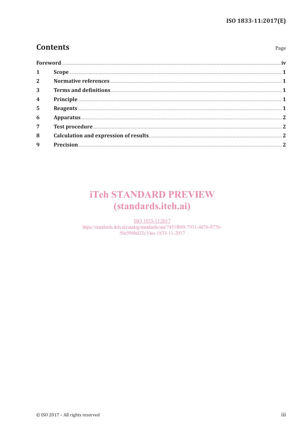Page

# **Contents**

| 1                       |                                                                                                                                                                                                                                                                              |
|-------------------------|------------------------------------------------------------------------------------------------------------------------------------------------------------------------------------------------------------------------------------------------------------------------------|
| 2                       |                                                                                                                                                                                                                                                                              |
| 3                       |                                                                                                                                                                                                                                                                              |
| $\overline{\mathbf{4}}$ |                                                                                                                                                                                                                                                                              |
| 5                       |                                                                                                                                                                                                                                                                              |
| 6                       |                                                                                                                                                                                                                                                                              |
| 7                       |                                                                                                                                                                                                                                                                              |
| 8                       | Calculation and expression of results <b>Expression and Expression</b> and Expression of results <b>Expression</b> and <b>Expression</b> and <b>Expression</b> and <b>Expression</b> and <b>Expression</b> and <b>Expression</b> and <b>Expression</b> and <b>Expression</b> |
| 9                       |                                                                                                                                                                                                                                                                              |

# **iTeh STANDARD PREVIEW** (standards.iteh.ai)

ISO 1833-11:2017 https://standards.iteh.ai/catalog/standards/sist/7451f889-7931-4d76-8776-50e594bd32c3/iso-1833-11-2017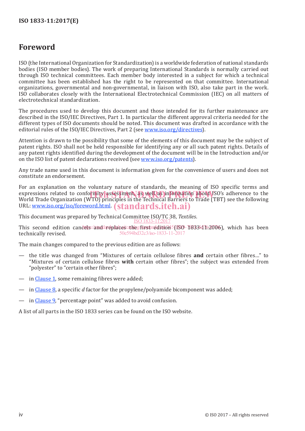## **Foreword**

ISO (the International Organization for Standardization) is a worldwide federation of national standards bodies (ISO member bodies). The work of preparing International Standards is normally carried out through ISO technical committees. Each member body interested in a subject for which a technical committee has been established has the right to be represented on that committee. International organizations, governmental and non-governmental, in liaison with ISO, also take part in the work. ISO collaborates closely with the International Electrotechnical Commission (IEC) on all matters of electrotechnical standardization.

The procedures used to develop this document and those intended for its further maintenance are described in the ISO/IEC Directives, Part 1. In particular the different approval criteria needed for the different types of ISO documents should be noted. This document was drafted in accordance with the editorial rules of the ISO/IEC Directives, Part 2 (see www.iso.org/directives).

Attention is drawn to the possibility that some of the elements of this document may be the subject of patent rights. ISO shall not be held responsible for identifying any or all such patent rights. Details of any patent rights identified during the development of the document will be in the Introduction and/or on the ISO list of patent declarations received (see www.iso.org/patents).

Any trade name used in this document is information given for the convenience of users and does not constitute an endorsement.

For an explanation on the voluntary nature of standards, the meaning of ISO specific terms and expressions related to conformity assessment, as well as information about ISO's adherence to the<br>World Trade Organization (WTO) principles in the Technical Barriers to Trade (TBT) see the following World Trade Organization (WTO) principles in the Technical Barriers to Trade (TBT) see the following URL: <u>www.iso.org/iso/foreword.html</u>. (standards.iteh.ai)

This document was prepared by Technical Committee ISO/TC 38, *Textiles*.

ISO 1833-11:2017

This second edition cancels://anddareplacescatheg/firstaredition 5 (ISO-78331476-2006), which has been technically revised. 50e594bd32c3/iso-1833-11-2017

The main changes compared to the previous edition are as follows:

- the title was changed from "Mixtures of certain cellulose fibres **and** certain other fibres…" to "Mixtures of certain cellulose fibres **with** certain other fibres"; the subject was extended from "polyester" to "certain other fibres";
- in Clause 1, some remaining fibres were added;
- in Clause 8, a specific *d* factor for the propylene/polyamide bicomponent was added;
- in Clause 9, "percentage point" was added to avoid confusion.

A list of all parts in the ISO 1833 series can be found on the ISO website.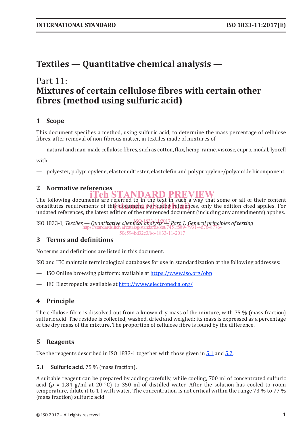# **Textiles — Quantitative chemical analysis —**

## Part 11: **Mixtures of certain cellulose fibres with certain other fibres (method using sulfuric acid)**

## **1 Scope**

This document specifies a method, using sulfuric acid, to determine the mass percentage of cellulose fibres, after removal of non-fibrous matter, in textiles made of mixtures of

— natural and man-made cellulose fibres, such as cotton, flax, hemp, ramie, viscose, cupro, modal, lyocell

with

— polyester, polypropylene, elastomultiester, elastolefin and polypropylene/polyamide bicomponent.

## **2 Normative references**

# iTeh STANDARD PREVIEW

The following documents are referred to in the text in such a way that some or all of their content constitutes requirements of this document. For dated references, only the edition cited applies. For underducing the latest edition of the unforward document (including our amondments) applies. undated references, the latest edition of the referenced document (including any amendments) applies.

ISO 1833-1, *Textiles* — *Quantitative chemical*  $\frac{1}{2}$  *and*  $\frac{1}{2}$  *Part 1: General principles of testing* https://standards.iteh.ai/catalog/standards/sist/7451f889-7931-4d76-8776-

#### 50e594bd32c3/iso-1833-11-2017

### **3 Terms and definitions**

No terms and definitions are listed in this document.

ISO and IEC maintain terminological databases for use in standardization at the following addresses:

- ISO Online browsing platform: available at https://www.iso.org/obp
- IEC Electropedia: available at http://www.electropedia.org/

## **4 Principle**

The cellulose fibre is dissolved out from a known dry mass of the mixture, with 75 % (mass fraction) sulfuric acid. The residue is collected, washed, dried and weighed; its mass is expressed as a percentage of the dry mass of the mixture. The proportion of cellulose fibre is found by the difference.

### **5 Reagents**

Use the reagents described in ISO 1833-1 together with those given in 5.1 and 5.2.

#### **5.1 Sulfuric acid**, 75 % (mass fraction).

A suitable reagent can be prepared by adding carefully, while cooling, 700 ml of concentrated sulfuric acid (*ρ =* 1,84 g/ml at 20 °C) to 350 ml of distilled water. After the solution has cooled to room temperature, dilute it to 1 I with water. The concentration is not critical within the range 73 % to 77 % (mass fraction) sulfuric acid.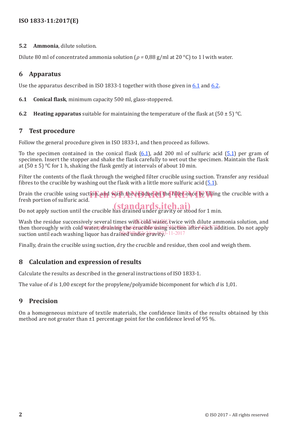**5.2 Ammonia**, dilute solution.

Dilute 80 ml of concentrated ammonia solution (*ρ =* 0,88 g/ml at 20 °C) to 1 l with water.

## **6 Apparatus**

Use the apparatus described in ISO 1833-1 together with those given in 6.1 and 6.2.

- **6.1 Conical flask**, minimum capacity 500 ml, glass-stoppered.
- **6.2**  Heating apparatus suitable for maintaining the temperature of the flask at  $(50 \pm 5)$  °C.

### **7 Test procedure**

Follow the general procedure given in ISO 1833-1, and then proceed as follows.

To the specimen contained in the conical flask  $(6.1)$ , add 200 ml of sulfuric acid  $(5.1)$  per gram of specimen. Insert the stopper and shake the flask carefully to wet out the specimen. Maintain the flask at  $(50 \pm 5)$  °C for 1 h, shaking the flask gently at intervals of about 10 min.

Filter the contents of the flask through the weighed filter crucible using suction. Transfer any residual fibres to the crucible by washing out the flask with a little more sulfuric acid (5.1).

Drain the crucible using suction, and wash the residue on the filter once by filling the crucible with a<br>fresh portion of sulfuric acid fresh portion of sulfuric acid.

nesh portion of sundrie actu.<br>Do not apply suction until the crucible has drained under gravity or stood for 1 min.

Wash the residue successively several times with cold water, twice with dilute ammonia solution, and then thoroughly with cold <del>water, draining the enteible using suction</del> after each addition. Do not apply  ${\rm such \, variable}$  washing liquor has drained under gravity. $^{-11-2017}$ 

Finally, drain the crucible using suction, dry the crucible and residue, then cool and weigh them.

## **8 Calculation and expression of results**

Calculate the results as described in the general instructions of ISO 1833-1.

The value of *d* is 1,00 except for the propylene/polyamide bicomponent for which *d* is 1,01.

## **9 Precision**

On a homogeneous mixture of textile materials, the confidence limits of the results obtained by this method are not greater than ±1 percentage point for the confidence level of 95 %.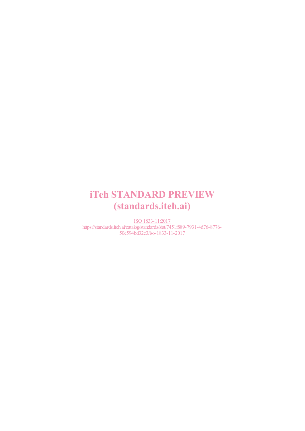# iTeh STANDARD PREVIEW (standards.iteh.ai)

ISO 1833-11:2017 https://standards.iteh.ai/catalog/standards/sist/7451f889-7931-4d76-8776- 50e594bd32c3/iso-1833-11-2017